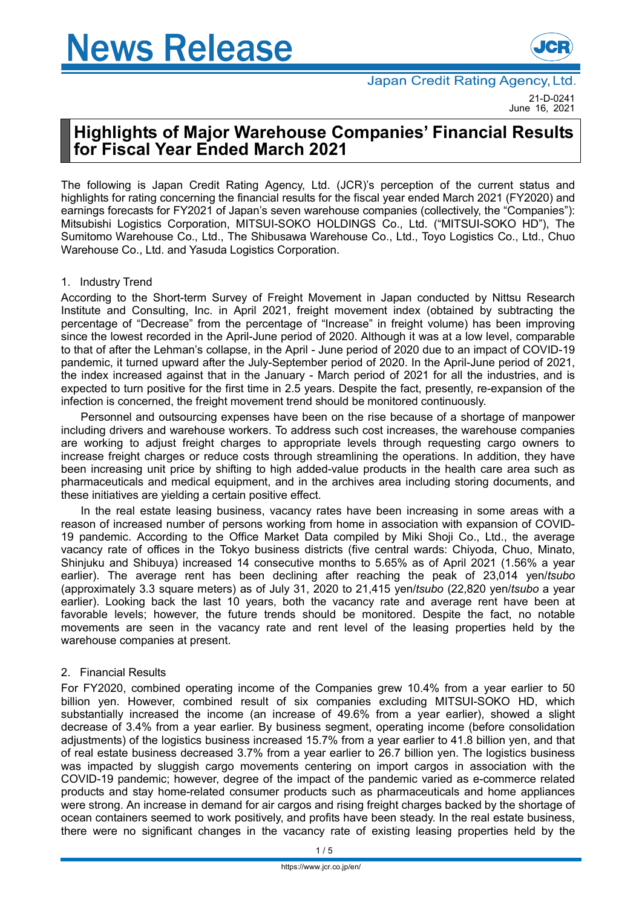

# **Highlights of Major Warehouse Companies' Financial Results for Fiscal Year Ended March 2021**

The following is Japan Credit Rating Agency, Ltd. (JCR)'s perception of the current status and highlights for rating concerning the financial results for the fiscal year ended March 2021 (FY2020) and earnings forecasts for FY2021 of Japan's seven warehouse companies (collectively, the "Companies"): Mitsubishi Logistics Corporation, MITSUI-SOKO HOLDINGS Co., Ltd. ("MITSUI-SOKO HD"), The Sumitomo Warehouse Co., Ltd., The Shibusawa Warehouse Co., Ltd., Toyo Logistics Co., Ltd., Chuo Warehouse Co., Ltd. and Yasuda Logistics Corporation.

### 1. Industry Trend

According to the Short-term Survey of Freight Movement in Japan conducted by Nittsu Research Institute and Consulting, Inc. in April 2021, freight movement index (obtained by subtracting the percentage of "Decrease" from the percentage of "Increase" in freight volume) has been improving since the lowest recorded in the April-June period of 2020. Although it was at a low level, comparable to that of after the Lehman's collapse, in the April - June period of 2020 due to an impact of COVID-19 pandemic, it turned upward after the July-September period of 2020. In the April-June period of 2021, the index increased against that in the January - March period of 2021 for all the industries, and is expected to turn positive for the first time in 2.5 years. Despite the fact, presently, re-expansion of the infection is concerned, the freight movement trend should be monitored continuously.

Personnel and outsourcing expenses have been on the rise because of a shortage of manpower including drivers and warehouse workers. To address such cost increases, the warehouse companies are working to adjust freight charges to appropriate levels through requesting cargo owners to increase freight charges or reduce costs through streamlining the operations. In addition, they have been increasing unit price by shifting to high added-value products in the health care area such as pharmaceuticals and medical equipment, and in the archives area including storing documents, and these initiatives are yielding a certain positive effect.

In the real estate leasing business, vacancy rates have been increasing in some areas with a reason of increased number of persons working from home in association with expansion of COVID-19 pandemic. According to the Office Market Data compiled by Miki Shoji Co., Ltd., the average vacancy rate of offices in the Tokyo business districts (five central wards: Chiyoda, Chuo, Minato, Shinjuku and Shibuya) increased 14 consecutive months to 5.65% as of April 2021 (1.56% a year earlier). The average rent has been declining after reaching the peak of 23,014 yen/*tsubo* (approximately 3.3 square meters) as of July 31, 2020 to 21,415 yen/*tsubo* (22,820 yen/*tsubo* a year earlier). Looking back the last 10 years, both the vacancy rate and average rent have been at favorable levels; however, the future trends should be monitored. Despite the fact, no notable movements are seen in the vacancy rate and rent level of the leasing properties held by the warehouse companies at present.

#### 2. Financial Results

For FY2020, combined operating income of the Companies grew 10.4% from a year earlier to 50 billion yen. However, combined result of six companies excluding MITSUI-SOKO HD, which substantially increased the income (an increase of 49.6% from a year earlier), showed a slight decrease of 3.4% from a year earlier. By business segment, operating income (before consolidation adjustments) of the logistics business increased 15.7% from a year earlier to 41.8 billion yen, and that of real estate business decreased 3.7% from a year earlier to 26.7 billion yen. The logistics business was impacted by sluggish cargo movements centering on import cargos in association with the COVID-19 pandemic; however, degree of the impact of the pandemic varied as e-commerce related products and stay home-related consumer products such as pharmaceuticals and home appliances were strong. An increase in demand for air cargos and rising freight charges backed by the shortage of ocean containers seemed to work positively, and profits have been steady. In the real estate business, there were no significant changes in the vacancy rate of existing leasing properties held by the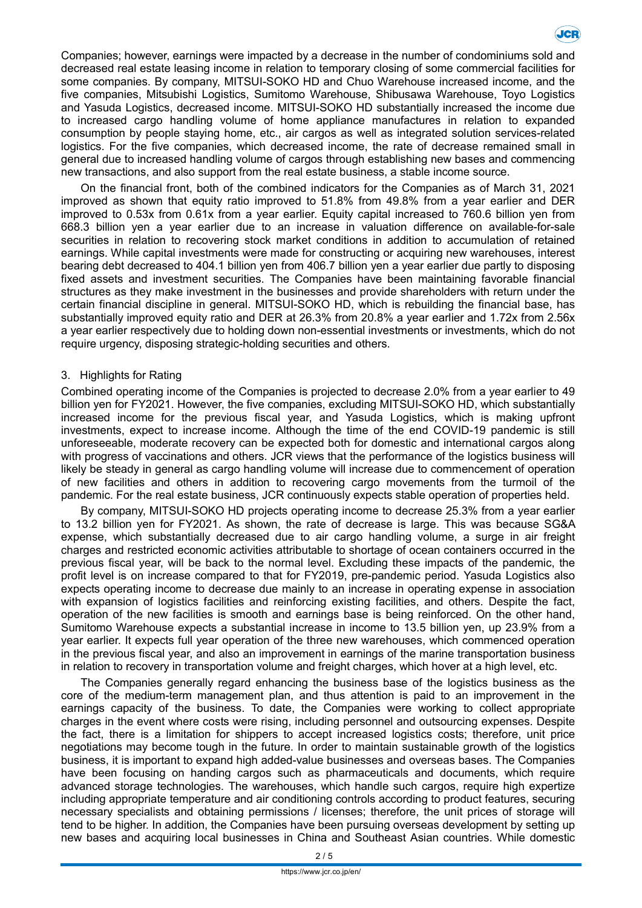

Companies; however, earnings were impacted by a decrease in the number of condominiums sold and decreased real estate leasing income in relation to temporary closing of some commercial facilities for some companies. By company, MITSUI-SOKO HD and Chuo Warehouse increased income, and the five companies, Mitsubishi Logistics, Sumitomo Warehouse, Shibusawa Warehouse, Toyo Logistics and Yasuda Logistics, decreased income. MITSUI-SOKO HD substantially increased the income due to increased cargo handling volume of home appliance manufactures in relation to expanded consumption by people staying home, etc., air cargos as well as integrated solution services-related logistics. For the five companies, which decreased income, the rate of decrease remained small in general due to increased handling volume of cargos through establishing new bases and commencing new transactions, and also support from the real estate business, a stable income source.

On the financial front, both of the combined indicators for the Companies as of March 31, 2021 improved as shown that equity ratio improved to 51.8% from 49.8% from a year earlier and DER improved to 0.53x from 0.61x from a year earlier. Equity capital increased to 760.6 billion yen from 668.3 billion yen a year earlier due to an increase in valuation difference on available-for-sale securities in relation to recovering stock market conditions in addition to accumulation of retained earnings. While capital investments were made for constructing or acquiring new warehouses, interest bearing debt decreased to 404.1 billion yen from 406.7 billion yen a year earlier due partly to disposing fixed assets and investment securities. The Companies have been maintaining favorable financial structures as they make investment in the businesses and provide shareholders with return under the certain financial discipline in general. MITSUI-SOKO HD, which is rebuilding the financial base, has substantially improved equity ratio and DER at 26.3% from 20.8% a year earlier and 1.72x from 2.56x a year earlier respectively due to holding down non-essential investments or investments, which do not require urgency, disposing strategic-holding securities and others.

#### 3. Highlights for Rating

Combined operating income of the Companies is projected to decrease 2.0% from a year earlier to 49 billion yen for FY2021. However, the five companies, excluding MITSUI-SOKO HD, which substantially increased income for the previous fiscal year, and Yasuda Logistics, which is making upfront investments, expect to increase income. Although the time of the end COVID-19 pandemic is still unforeseeable, moderate recovery can be expected both for domestic and international cargos along with progress of vaccinations and others. JCR views that the performance of the logistics business will likely be steady in general as cargo handling volume will increase due to commencement of operation of new facilities and others in addition to recovering cargo movements from the turmoil of the pandemic. For the real estate business, JCR continuously expects stable operation of properties held.

By company, MITSUI-SOKO HD projects operating income to decrease 25.3% from a year earlier to 13.2 billion yen for FY2021. As shown, the rate of decrease is large. This was because SG&A expense, which substantially decreased due to air cargo handling volume, a surge in air freight charges and restricted economic activities attributable to shortage of ocean containers occurred in the previous fiscal year, will be back to the normal level. Excluding these impacts of the pandemic, the profit level is on increase compared to that for FY2019, pre-pandemic period. Yasuda Logistics also expects operating income to decrease due mainly to an increase in operating expense in association with expansion of logistics facilities and reinforcing existing facilities, and others. Despite the fact, operation of the new facilities is smooth and earnings base is being reinforced. On the other hand, Sumitomo Warehouse expects a substantial increase in income to 13.5 billion yen, up 23.9% from a year earlier. It expects full year operation of the three new warehouses, which commenced operation in the previous fiscal year, and also an improvement in earnings of the marine transportation business in relation to recovery in transportation volume and freight charges, which hover at a high level, etc.

The Companies generally regard enhancing the business base of the logistics business as the core of the medium-term management plan, and thus attention is paid to an improvement in the earnings capacity of the business. To date, the Companies were working to collect appropriate charges in the event where costs were rising, including personnel and outsourcing expenses. Despite the fact, there is a limitation for shippers to accept increased logistics costs; therefore, unit price negotiations may become tough in the future. In order to maintain sustainable growth of the logistics business, it is important to expand high added-value businesses and overseas bases. The Companies have been focusing on handing cargos such as pharmaceuticals and documents, which require advanced storage technologies. The warehouses, which handle such cargos, require high expertize including appropriate temperature and air conditioning controls according to product features, securing necessary specialists and obtaining permissions / licenses; therefore, the unit prices of storage will tend to be higher. In addition, the Companies have been pursuing overseas development by setting up new bases and acquiring local businesses in China and Southeast Asian countries. While domestic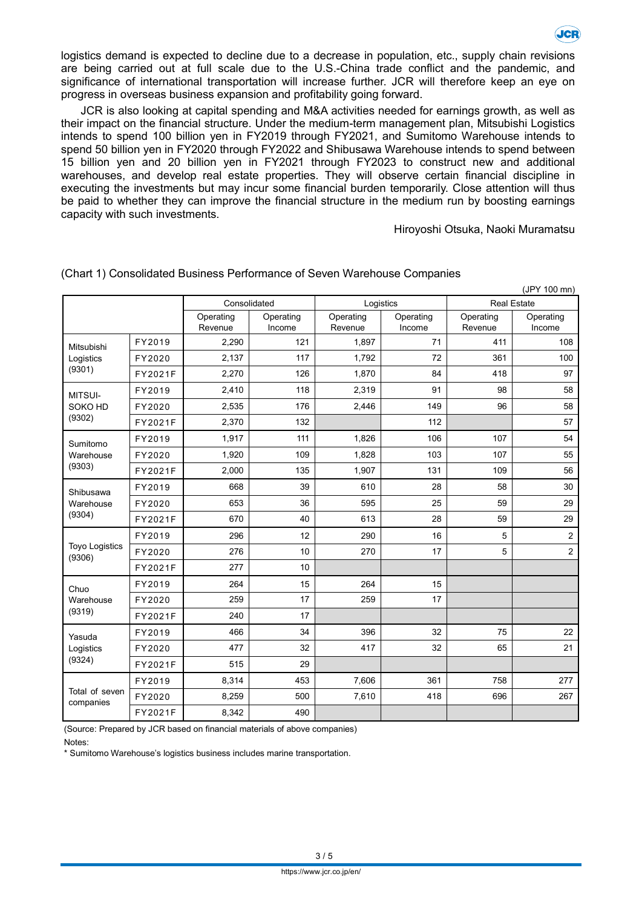

logistics demand is expected to decline due to a decrease in population, etc., supply chain revisions are being carried out at full scale due to the U.S.-China trade conflict and the pandemic, and significance of international transportation will increase further. JCR will therefore keep an eye on progress in overseas business expansion and profitability going forward.

JCR is also looking at capital spending and M&A activities needed for earnings growth, as well as their impact on the financial structure. Under the medium-term management plan, Mitsubishi Logistics intends to spend 100 billion yen in FY2019 through FY2021, and Sumitomo Warehouse intends to spend 50 billion yen in FY2020 through FY2022 and Shibusawa Warehouse intends to spend between 15 billion yen and 20 billion yen in FY2021 through FY2023 to construct new and additional warehouses, and develop real estate properties. They will observe certain financial discipline in executing the investments but may incur some financial burden temporarily. Close attention will thus be paid to whether they can improve the financial structure in the medium run by boosting earnings capacity with such investments.

Hiroyoshi Otsuka, Naoki Muramatsu

| (JPY 100 mn)                      |         |              |           |           |           |             |                |  |  |  |  |
|-----------------------------------|---------|--------------|-----------|-----------|-----------|-------------|----------------|--|--|--|--|
|                                   |         | Consolidated |           | Logistics |           | Real Estate |                |  |  |  |  |
|                                   |         | Operating    | Operating | Operating | Operating | Operating   | Operating      |  |  |  |  |
|                                   |         | Revenue      | Income    | Revenue   | Income    | Revenue     | Income         |  |  |  |  |
| Mitsubishi<br>Logistics<br>(9301) | FY2019  | 2,290        | 121       | 1,897     | 71        | 411         | 108            |  |  |  |  |
|                                   | FY2020  | 2,137        | 117       | 1.792     | 72        | 361         | 100            |  |  |  |  |
|                                   | FY2021F | 2,270        | 126       | 1,870     | 84        | 418         | 97             |  |  |  |  |
| MITSUI-<br>SOKO HD<br>(9302)      | FY2019  | 2,410        | 118       | 2,319     | 91        | 98          | 58             |  |  |  |  |
|                                   | FY2020  | 2,535        | 176       | 2,446     | 149       | 96          | 58             |  |  |  |  |
|                                   | FY2021F | 2,370        | 132       |           | 112       |             | 57             |  |  |  |  |
| Sumitomo<br>Warehouse<br>(9303)   | FY2019  | 1,917        | 111       | 1,826     | 106       | 107         | 54             |  |  |  |  |
|                                   | FY2020  | 1,920        | 109       | 1,828     | 103       | 107         | 55             |  |  |  |  |
|                                   | FY2021F | 2,000        | 135       | 1,907     | 131       | 109         | 56             |  |  |  |  |
| Shibusawa<br>Warehouse<br>(9304)  | FY2019  | 668          | 39        | 610       | 28        | 58          | 30             |  |  |  |  |
|                                   | FY2020  | 653          | 36        | 595       | 25        | 59          | 29             |  |  |  |  |
|                                   | FY2021F | 670          | 40        | 613       | 28        | 59          | 29             |  |  |  |  |
| <b>Toyo Logistics</b><br>(9306)   | FY2019  | 296          | 12        | 290       | 16        | 5           | $\overline{c}$ |  |  |  |  |
|                                   | FY2020  | 276          | 10        | 270       | 17        | 5           | $\mathbf 2$    |  |  |  |  |
|                                   | FY2021F | 277          | 10        |           |           |             |                |  |  |  |  |
| Chuo<br>Warehouse<br>(9319)       | FY2019  | 264          | 15        | 264       | 15        |             |                |  |  |  |  |
|                                   | FY2020  | 259          | 17        | 259       | 17        |             |                |  |  |  |  |
|                                   | FY2021F | 240          | 17        |           |           |             |                |  |  |  |  |
| Yasuda<br>Logistics<br>(9324)     | FY2019  | 466          | 34        | 396       | 32        | 75          | 22             |  |  |  |  |
|                                   | FY2020  | 477          | 32        | 417       | 32        | 65          | 21             |  |  |  |  |
|                                   | FY2021F | 515          | 29        |           |           |             |                |  |  |  |  |
| Total of seven<br>companies       | FY2019  | 8,314        | 453       | 7,606     | 361       | 758         | 277            |  |  |  |  |
|                                   | FY2020  | 8,259        | 500       | 7,610     | 418       | 696         | 267            |  |  |  |  |
|                                   | FY2021F | 8,342        | 490       |           |           |             |                |  |  |  |  |

(Chart 1) Consolidated Business Performance of Seven Warehouse Companies

(Source: Prepared by JCR based on financial materials of above companies) Notes:

\* Sumitomo Warehouse's logistics business includes marine transportation.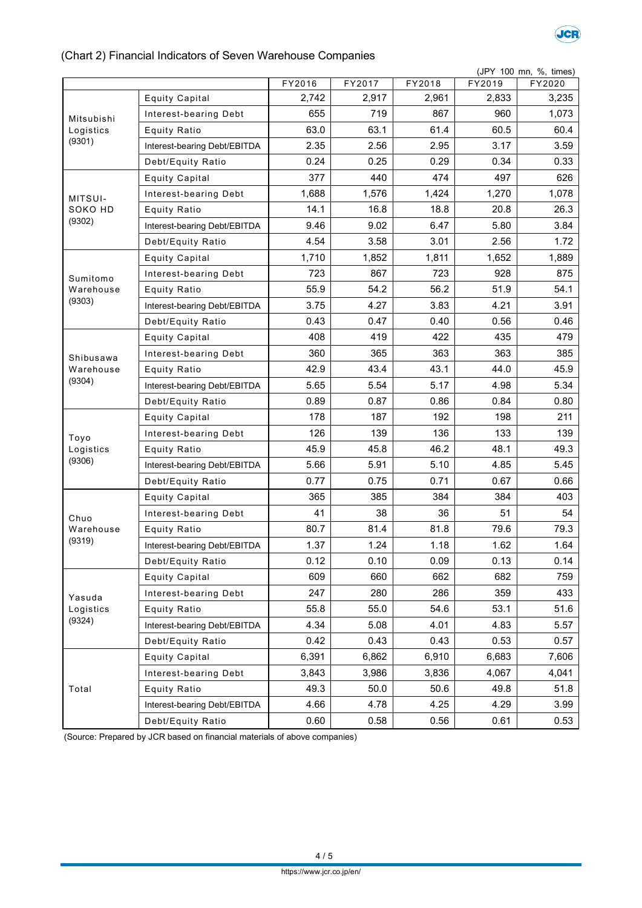

## (Chart 2) Financial Indicators of Seven Warehouse Companies

|                                   | (JPY 100 mn, %, times)       |        |        |        |        |        |  |  |  |
|-----------------------------------|------------------------------|--------|--------|--------|--------|--------|--|--|--|
|                                   |                              | FY2016 | FY2017 | FY2018 | FY2019 | FY2020 |  |  |  |
|                                   | <b>Equity Capital</b>        | 2,742  | 2,917  | 2,961  | 2,833  | 3,235  |  |  |  |
| Mitsubishi<br>Logistics<br>(9301) | Interest-bearing Debt        | 655    | 719    | 867    | 960    | 1,073  |  |  |  |
|                                   | <b>Equity Ratio</b>          | 63.0   | 63.1   | 61.4   | 60.5   | 60.4   |  |  |  |
|                                   | Interest-bearing Debt/EBITDA | 2.35   | 2.56   | 2.95   | 3.17   | 3.59   |  |  |  |
|                                   | Debt/Equity Ratio            | 0.24   | 0.25   | 0.29   | 0.34   | 0.33   |  |  |  |
| MITSUI-<br>SOKO HD<br>(9302)      | <b>Equity Capital</b>        | 377    | 440    | 474    | 497    | 626    |  |  |  |
|                                   | Interest-bearing Debt        | 1,688  | 1,576  | 1,424  | 1,270  | 1,078  |  |  |  |
|                                   | <b>Equity Ratio</b>          | 14.1   | 16.8   | 18.8   | 20.8   | 26.3   |  |  |  |
|                                   | Interest-bearing Debt/EBITDA | 9.46   | 9.02   | 6.47   | 5.80   | 3.84   |  |  |  |
|                                   | Debt/Equity Ratio            | 4.54   | 3.58   | 3.01   | 2.56   | 1.72   |  |  |  |
|                                   | <b>Equity Capital</b>        | 1,710  | 1,852  | 1,811  | 1,652  | 1,889  |  |  |  |
| Sumitomo                          | Interest-bearing Debt        | 723    | 867    | 723    | 928    | 875    |  |  |  |
| Warehouse                         | <b>Equity Ratio</b>          | 55.9   | 54.2   | 56.2   | 51.9   | 54.1   |  |  |  |
| (9303)                            | Interest-bearing Debt/EBITDA | 3.75   | 4.27   | 3.83   | 4.21   | 3.91   |  |  |  |
|                                   | Debt/Equity Ratio            | 0.43   | 0.47   | 0.40   | 0.56   | 0.46   |  |  |  |
|                                   | <b>Equity Capital</b>        | 408    | 419    | 422    | 435    | 479    |  |  |  |
| Shibusawa                         | Interest-bearing Debt        | 360    | 365    | 363    | 363    | 385    |  |  |  |
| Warehouse                         | <b>Equity Ratio</b>          | 42.9   | 43.4   | 43.1   | 44.0   | 45.9   |  |  |  |
| (9304)                            | Interest-bearing Debt/EBITDA | 5.65   | 5.54   | 5.17   | 4.98   | 5.34   |  |  |  |
|                                   | Debt/Equity Ratio            | 0.89   | 0.87   | 0.86   | 0.84   | 0.80   |  |  |  |
|                                   | <b>Equity Capital</b>        | 178    | 187    | 192    | 198    | 211    |  |  |  |
| Toyo                              | Interest-bearing Debt        | 126    | 139    | 136    | 133    | 139    |  |  |  |
| Logistics                         | <b>Equity Ratio</b>          | 45.9   | 45.8   | 46.2   | 48.1   | 49.3   |  |  |  |
| (9306)                            | Interest-bearing Debt/EBITDA | 5.66   | 5.91   | 5.10   | 4.85   | 5.45   |  |  |  |
|                                   | Debt/Equity Ratio            | 0.77   | 0.75   | 0.71   | 0.67   | 0.66   |  |  |  |
| Chuo                              | <b>Equity Capital</b>        | 365    | 385    | 384    | 384    | 403    |  |  |  |
|                                   | Interest-bearing Debt        | 41     | 38     | 36     | 51     | 54     |  |  |  |
| Warehouse                         | <b>Equity Ratio</b>          | 80.7   | 81.4   | 81.8   | 79.6   | 79.3   |  |  |  |
| (9319)                            | Interest-bearing Debt/EBITDA | 1.37   | 1.24   | 1.18   | 1.62   | 1.64   |  |  |  |
|                                   | Debt/Equity Ratio            | 0.12   | 0.10   | 0.09   | 0.13   | 0.14   |  |  |  |
|                                   | <b>Equity Capital</b>        | 609    | 660    | 662    | 682    | 759    |  |  |  |
| Yasuda                            | Interest-bearing Debt        | 247    | 280    | 286    | 359    | 433    |  |  |  |
| Logistics<br>(9324)               | <b>Equity Ratio</b>          | 55.8   | 55.0   | 54.6   | 53.1   | 51.6   |  |  |  |
|                                   | Interest-bearing Debt/EBITDA | 4.34   | 5.08   | 4.01   | 4.83   | 5.57   |  |  |  |
|                                   | Debt/Equity Ratio            | 0.42   | 0.43   | 0.43   | 0.53   | 0.57   |  |  |  |
| Total                             | <b>Equity Capital</b>        | 6,391  | 6,862  | 6,910  | 6,683  | 7,606  |  |  |  |
|                                   | Interest-bearing Debt        | 3,843  | 3,986  | 3,836  | 4,067  | 4,041  |  |  |  |
|                                   | <b>Equity Ratio</b>          | 49.3   | 50.0   | 50.6   | 49.8   | 51.8   |  |  |  |
|                                   | Interest-bearing Debt/EBITDA | 4.66   | 4.78   | 4.25   | 4.29   | 3.99   |  |  |  |
|                                   | Debt/Equity Ratio            | 0.60   | 0.58   | 0.56   | 0.61   | 0.53   |  |  |  |

(Source: Prepared by JCR based on financial materials of above companies)